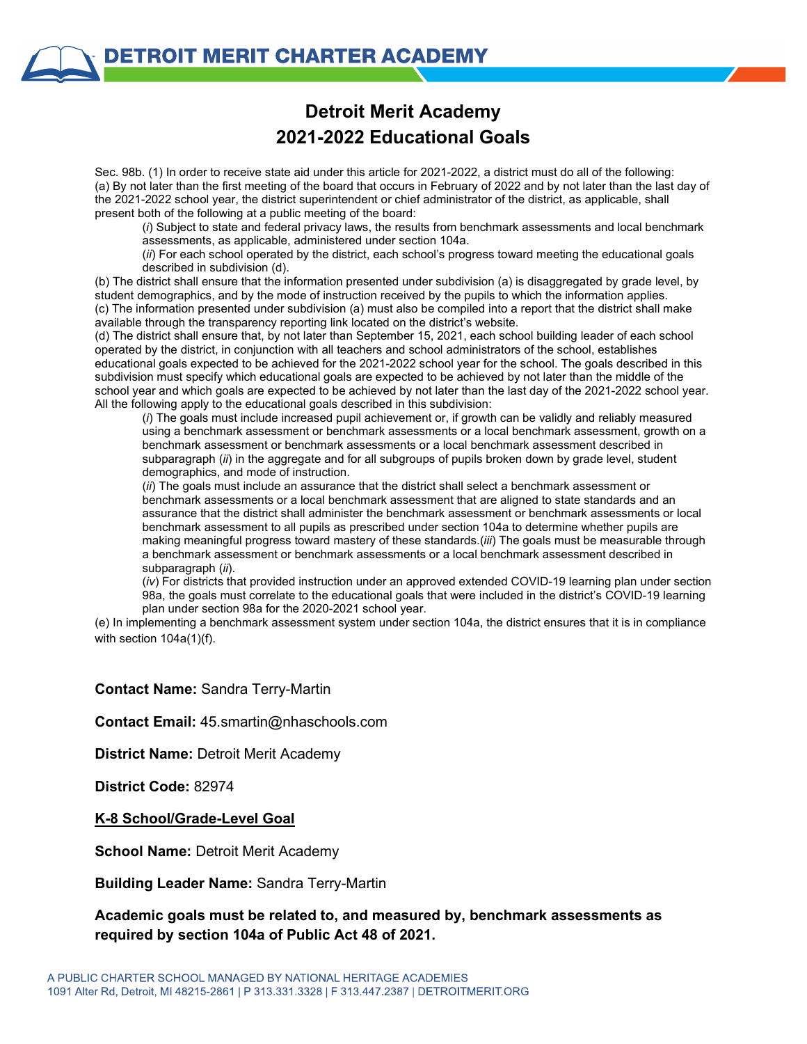## **Detroit Merit Academy 2021-2022 Educational Goals**

Sec. 98b. (1) In order to receive state aid under this article for 2021-2022, a district must do all of the following: (a) By not later than the first meeting of the board that occurs in February of 2022 and by not later than the last day of the 2021-2022 school year, the district superintendent or chief administrator of the district, as applicable, shall present both of the following at a public meeting of the board:

(*i*) Subject to state and federal privacy laws, the results from benchmark assessments and local benchmark assessments, as applicable, administered under section 104a.

(*ii*) For each school operated by the district, each school's progress toward meeting the educational goals described in subdivision (d).

(b) The district shall ensure that the information presented under subdivision (a) is disaggregated by grade level, by student demographics, and by the mode of instruction received by the pupils to which the information applies. (c) The information presented under subdivision (a) must also be compiled into a report that the district shall make available through the transparency reporting link located on the district's website.

(d) The district shall ensure that, by not later than September 15, 2021, each school building leader of each school operated by the district, in conjunction with all teachers and school administrators of the school, establishes educational goals expected to be achieved for the 2021-2022 school year for the school. The goals described in this subdivision must specify which educational goals are expected to be achieved by not later than the middle of the school year and which goals are expected to be achieved by not later than the last day of the 2021-2022 school year. All the following apply to the educational goals described in this subdivision:

(*i*) The goals must include increased pupil achievement or, if growth can be validly and reliably measured using a benchmark assessment or benchmark assessments or a local benchmark assessment, growth on a benchmark assessment or benchmark assessments or a local benchmark assessment described in subparagraph (*ii*) in the aggregate and for all subgroups of pupils broken down by grade level, student demographics, and mode of instruction.

(*ii*) The goals must include an assurance that the district shall select a benchmark assessment or benchmark assessments or a local benchmark assessment that are aligned to state standards and an assurance that the district shall administer the benchmark assessment or benchmark assessments or local benchmark assessment to all pupils as prescribed under section 104a to determine whether pupils are making meaningful progress toward mastery of these standards.(*iii*) The goals must be measurable through a benchmark assessment or benchmark assessments or a local benchmark assessment described in subparagraph (*ii*).

(*iv*) For districts that provided instruction under an approved extended COVID-19 learning plan under section 98a, the goals must correlate to the educational goals that were included in the district's COVID-19 learning plan under section 98a for the 2020-2021 school year.

(e) In implementing a benchmark assessment system under section 104a, the district ensures that it is in compliance with section 104a(1)(f).

#### **Contact Name:** Sandra Terry-Martin

**Contact Email:** 45.smartin@nhaschools.com

**District Name:** Detroit Merit Academy

**District Code:** 82974

#### **K-8 School/Grade-Level Goal**

**School Name: Detroit Merit Academy** 

#### **Building Leader Name:** Sandra Terry-Martin

### **Academic goals must be related to, and measured by, benchmark assessments as required by section 104a of Public Act 48 of 2021.**